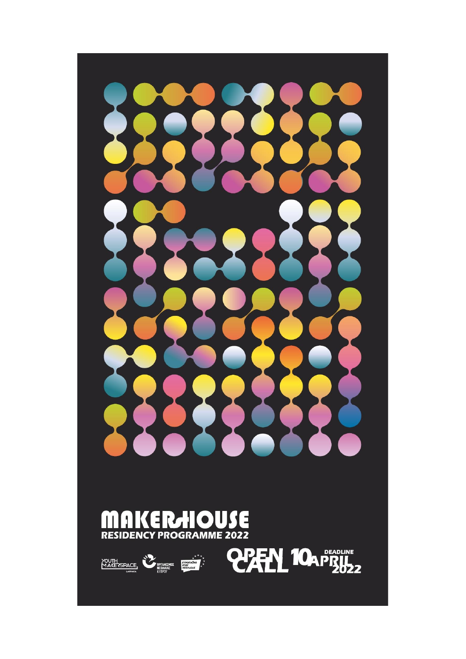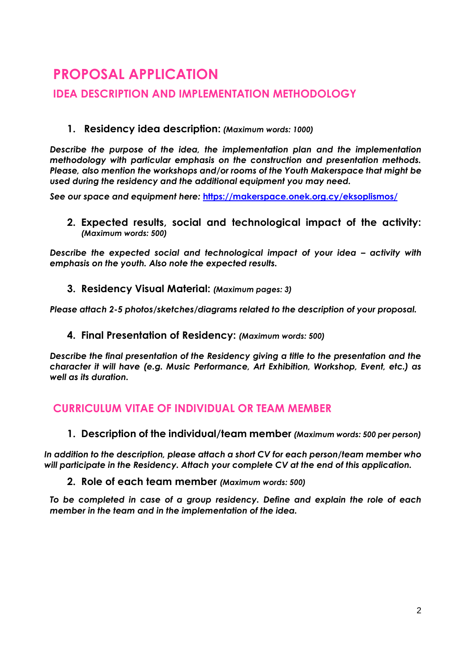# **PROPOSAL APPLICATION**

## **IDEA DESCRIPTION AND IMPLEMENTATION METHODOLOGY**

#### **1. Residency idea description:** *(Maximum words: 1000)*

*Describe the purpose of the idea, the implementation plan and the implementation methodology with particular emphasis on the construction and presentation methods. Please, also mention the workshops and/or rooms of the Youth Makerspace that might be used during the residency and the additional equipment you may need.*

*See our space and equipment here:* **<https://makerspace.onek.org.cy/eksoplismos/>**

**2. Expected results, social and technological impact of the activity:**  *(Maximum words: 500)*

**Describe the expected social and technological impact of your idea – activity with** *emphasis on the youth. Also note the expected results.*

**3. Residency Visual Material:** *(Maximum pages: 3)*

*Please attach 2-5 photos/sketches/diagrams related to the description of your proposal.*

**4. Final Presentation of Residency:** *(Maximum words: 500)*

*Describe the final presentation of the Residency giving a title to the presentation and the character it will have (e.g. Music Performance, Art Exhibition, Workshop, Event, etc.) as well as its duration.*

### **CURRICULUM VITAE OF INDIVIDUAL OR TEAM MEMBER**

**1. Description of the individual/team member** *(Maximum words: 500 per person)*

*In addition to the description, please attach a short CV for each person/team member who will participate in the Residency. Attach your complete CV at the end of this application.*

#### **2. Role of each team member** *(Maximum words: 500)*

*To be completed in case of a group residency. Define and explain the role of each member in the team and in the implementation of the idea.*